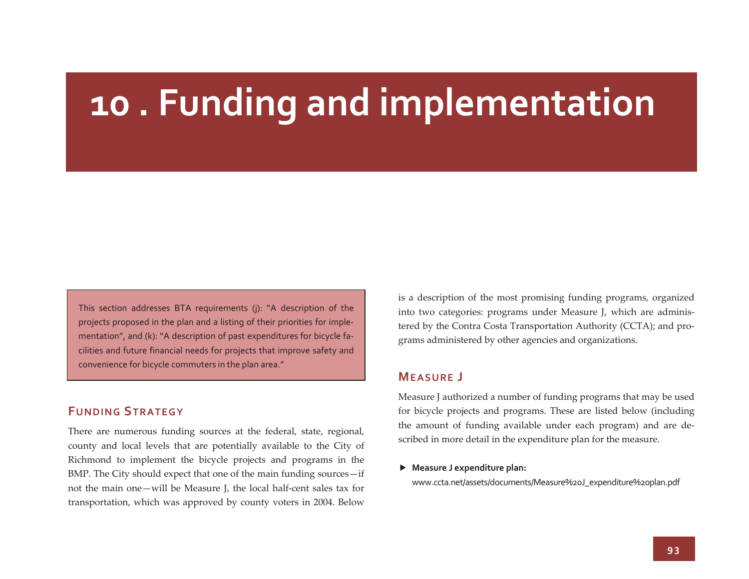# **10. Funding and implementation**

This section addresses BTA requirements (j): "A description of the projects proposed in the plan and <sup>a</sup> listing of their priorities for imple‐ mentation", and (k): "A description of past expenditures for bicycle facilities and future financial needs for projects that improve safety and convenience for bicycle commuters in the plan area."

# **FUNDING STRATEGY**

There are numerous funding sources at the federal, state, regional, county and local levels that are potentially available to the City of Richmond to implement the bicycle projects and programs in the BMP. The City should expec<sup>t</sup> that one of the main funding sources—if not the main one—will be Measure J, the local half‐cent sales tax for transportation, which was approved by county voters in 2004. Below

is a description of the most promising funding programs, organized into two categories: programs under Measure J, which are adminis‐ tered by the Contra Costa Transportation Authority (CCTA); and pro‐ grams administered by other agencies and organizations.

# **MEASURE J**

Measure J authorized <sup>a</sup> number of funding programs that may be used for bicycle projects and programs. These are listed below (including the amount of funding available under each program) and are de‐ scribed in more detail in the expenditure plan for the measure.

**Measure J expenditure plan:**

www.ccta.net/assets/documents/Measure%20J\_expenditure%20plan.pdf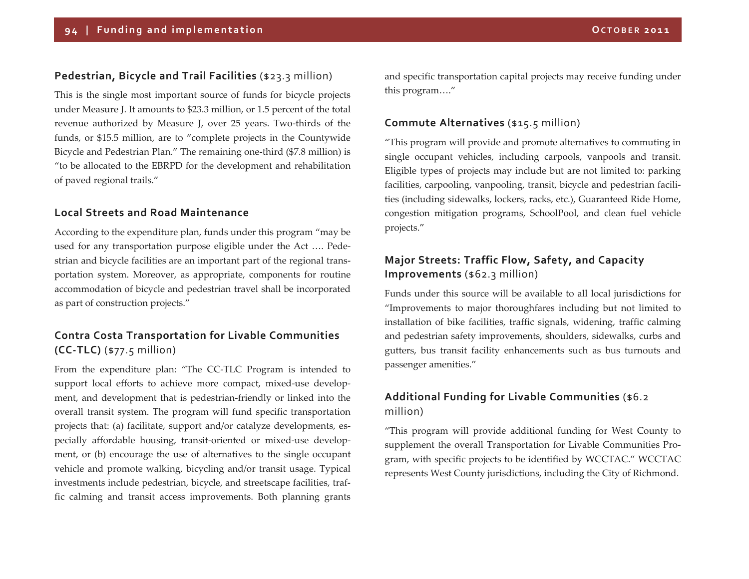# **Pedestrian, Bicycle and Trail Facilities** (\$23.3 million)

This is the single most important source of funds for bicycle projects under Measure J. It amounts to \$23.3 million, or 1.5 percen<sup>t</sup> of the total revenue authorized by Measure J, over 25 years. Two‐thirds of the funds, or \$15.5 million, are to "complete projects in the Countywide Bicycle and Pedestrian Plan." The remaining one‐third (\$7.8 million) is "to be allocated to the EBRPD for the development and rehabilitation of paved regional trails."

### **Local Streets and Road Maintenance**

According to the expenditure plan, funds under this program "may be used for any transportation purpose eligible under the Act …. Pede‐ strian and bicycle facilities are an important par<sup>t</sup> of the regional trans‐ portation system. Moreover, as appropriate, components for routine accommodation of bicycle and pedestrian travel shall be incorporated as par<sup>t</sup> of construction projects."

# **Contra Costa Transportation for Livable Communities (CC‐TLC)** (\$77.5 million)

From the expenditure plan: "The CC‐TLC Program is intended to support local efforts to achieve more compact, mixed-use development, and development that is pedestrian‐friendly or linked into the overall transit system. The program will fund specific transportation projects that: (a) facilitate, support and/or catalyze developments, especially affordable housing, transit‐oriented or mixed‐use develop‐ ment, or (b) encourage the use of alternatives to the single occupan<sup>t</sup> vehicle and promote walking, bicycling and/or transit usage. Typical investments include pedestrian, bicycle, and streetscape facilities, traf‐ fic calming and transit access improvements. Both planning grants

and specific transportation capital projects may receive funding under this program…."

# **Commute Alternatives** (\$15.5 million)

"This program will provide and promote alternatives to commuting in single occupan<sup>t</sup> vehicles, including carpools, vanpools and transit. Eligible types of projects may include but are not limited to: parking facilities, carpooling, vanpooling, transit, bicycle and pedestrian facilities (including sidewalks, lockers, racks, etc.), Guaranteed Ride Home, congestion mitigation programs, SchoolPool, and clean fuel vehicle projects."

# **Major Streets: Traffic Flow, Safety, and Capacity Improvements** (\$62.3 million)

Funds under this source will be available to all local jurisdictions for "Improvements to major thoroughfares including but not limited to installation of bike facilities, traffic signals, widening, traffic calming and pedestrian safety improvements, shoulders, sidewalks, curbs and gutters, bus transit facility enhancements such as bus turnouts and passenger amenities."

# **Additional Funding for Livable Communities** (\$6.2 million)

"This program will provide additional funding for West County to supplement the overall Transportation for Livable Communities Program, with specific projects to be identified by WCCTAC." WCCTAC represents West County jurisdictions, including the City of Richmond.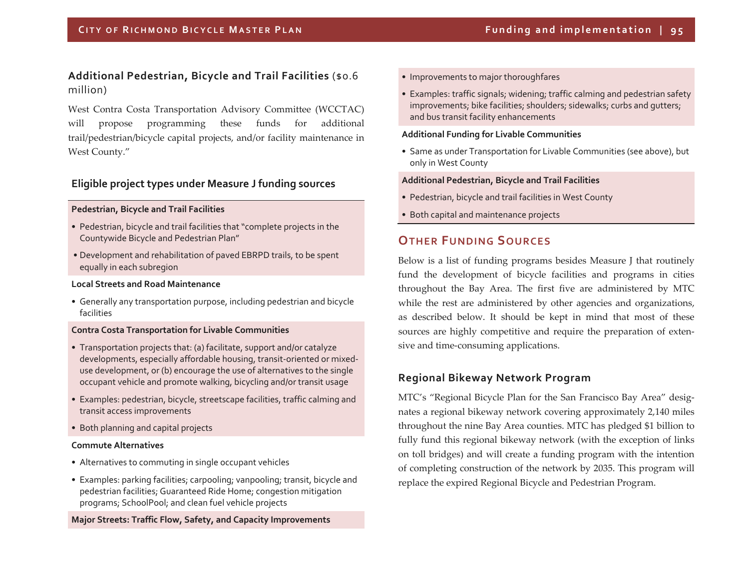# **Additional Pedestrian, Bicycle and Trail Facilities** (\$0.6 million)

West Contra Costa Transportation Advisory Committee (WCCTAC) will propose programming these funds for additional trail/pedestrian/bicycle capital projects, and/or facility maintenance in West County."

# **Eligible project types under Measure <sup>J</sup> funding sources**

### **Pedestrian, Bicycle and Trail Facilities**

- Pedestrian, bicycle and trail facilities that "complete projects in the Countywide Bicycle and Pedestrian Plan"
- Development and rehabilitation of paved EBRPD trails, to be spen<sup>t</sup> equally in each subregion

#### **Local Streets and Road Maintenance**

• Generally any transportation purpose, including pedestrian and bicycle facilities

#### **Contra Costa Transportation for Livable Communities**

- Transportation projects that: (a) facilitate, suppor<sup>t</sup> and/or catalyze developments, especially affordable housing, transit‐oriented or mixed‐ use development, or (b) encourage the use of alternatives to the single occupan<sup>t</sup> vehicle and promote walking, bicycling and/or transit usage
- Examples: pedestrian, bicycle, streetscape facilities, traffic calming and transit access improvements
- Both planning and capital projects

#### **Commute Alternatives**

- **•** Alternatives to commuting in single occupan<sup>t</sup> vehicles
- **•** Examples: parking facilities; carpooling; vanpooling; transit, bicycle and pedestrian facilities; Guaranteed Ride Home; congestion mitigation programs; SchoolPool; and clean fuel vehicle projects

**Major Streets: Traffic Flow, Safety, and Capacity Improvements**

- Improvements to major thoroughfares
- Examples: traffic signals; widening; traffic calming and pedestrian safety improvements; bike facilities; shoulders; sidewalks; curbs and gutters; and bus transit facility enhancements

#### **Additional Funding for Livable Communities**

• Same as under Transportation for Livable Communities (see above), but only in West County

#### **Additional Pedestrian, Bicycle and Trail Facilities**

- Pedestrian, bicycle and trail facilities in West County
- Both capital and maintenance projects

# **OTHER FUNDING SOURCES**

Below is <sup>a</sup> list of funding programs besides Measure J that routinely fund the development of bicycle facilities and programs in cities throughout the Bay Area. The first five are administered by MTC while the rest are administered by other agencies and organizations, as described below. It should be kept in mind that most of these sources are highly competitive and require the preparation of exten‐ sive and time‐consuming applications.

# **Regional Bikeway Network Program**

MTC's "Regional Bicycle Plan for the San Francisco Bay Area" desig‐ nates a regional bikeway network covering approximately 2,140 miles throughout the nine Bay Area counties. MTC has pledged \$1 billion to fully fund this regional bikeway network (with the exception of links on toll bridges) and will create <sup>a</sup> funding program with the intention of completing construction of the network by 2035. This program will replace the expired Regional Bicycle and Pedestrian Program.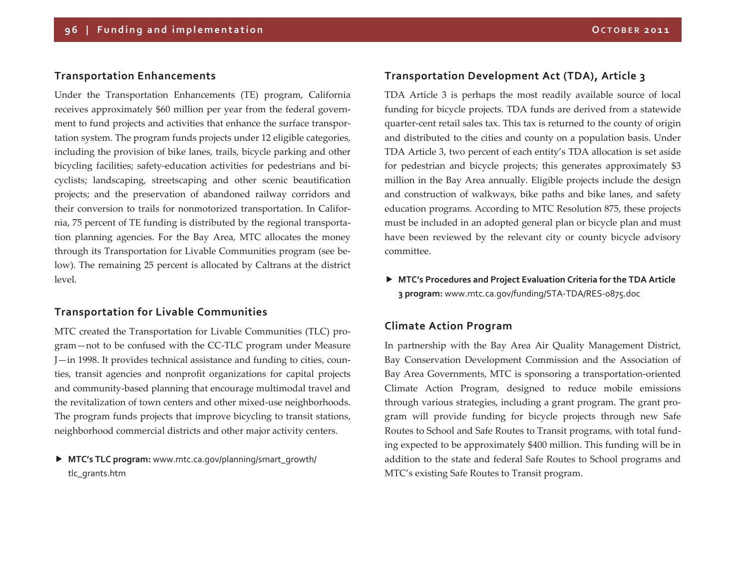### **Transportation Enhancements**

Under the Transportation Enhancements (TE) program, California receives approximately \$60 million per year from the federal govern‐ ment to fund projects and activities that enhance the surface transpor‐ tation system. The program funds projects under <sup>12</sup> eligible categories, including the provision of bike lanes, trails, bicycle parking and other bicycling facilities; safety-education activities for pedestrians and bicyclists; landscaping, streetscaping and other scenic beautification projects; and the preservation of abandoned railway corridors and their conversion to trails for nonmotorized transportation. In Califor‐ nia, <sup>75</sup> percen<sup>t</sup> of TE funding is distributed by the regional transporta‐ tion planning agencies. For the Bay Area, MTC allocates the money through its Transportation for Livable Communities program (see be‐ low). The remaining 25 percen<sup>t</sup> is allocated by Caltrans at the district level.

# **Transportation for Livable Communities**

MTC created the Transportation for Livable Communities (TLC) pro‐ gram—no<sup>t</sup> to be confused with the CC‐TLC program under Measure J—in 1998. It provides technical assistance and funding to cities, coun‐ ties, transit agencies and nonprofit organizations for capital projects and community‐based planning that encourage multimodal travel and the revitalization of town centers and other mixed‐use neighborhoods. The program funds projects that improve bicycling to transit stations, neighborhood commercial districts and other major activity centers.

 **MTC's TLC program:** www.mtc.ca.gov/planning/smart\_growth/ tlc\_grants.htm

# **Transportation Development Act (TDA), Article 3**

TDA Article 3 is perhaps the most readily available source of local funding for bicycle projects. TDA funds are derived from <sup>a</sup> statewide quarter-cent retail sales tax. This tax is returned to the county of origin and distributed to the cities and county on <sup>a</sup> population basis. Under TDA Article 3, two percen<sup>t</sup> of each entity's TDA allocation is set aside for pedestrian and bicycle projects; this generates approximately \$3 million in the Bay Area annually. Eligible projects include the design and construction of walkways, bike paths and bike lanes, and safety education programs. According to MTC Resolution 875, these projects must be included in an adopted general plan or bicycle plan and must have been reviewed by the relevant city or county bicycle advisory committee.

 **MTC's Procedures and Project Evaluation Criteria for the TDA Article 3 program:** www.mtc.ca.gov/funding/STA‐TDA/RES‐0875.doc

# **Climate Action Program**

In partnership with the Bay Area Air Quality Management District, Bay Conservation Development Commission and the Association of Bay Area Governments, MTC is sponsoring <sup>a</sup> transportation‐oriented Climate Action Program, designed to reduce mobile emissions through various strategies, including <sup>a</sup> gran<sup>t</sup> program. The gran<sup>t</sup> pro‐ gram will provide funding for bicycle projects through new Safe Routes to School and Safe Routes to Transit programs, with total fund‐ ing expected to be approximately \$400 million. This funding will be in addition to the state and federal Safe Routes to School programs and MTC's existing Safe Routes to Transit program.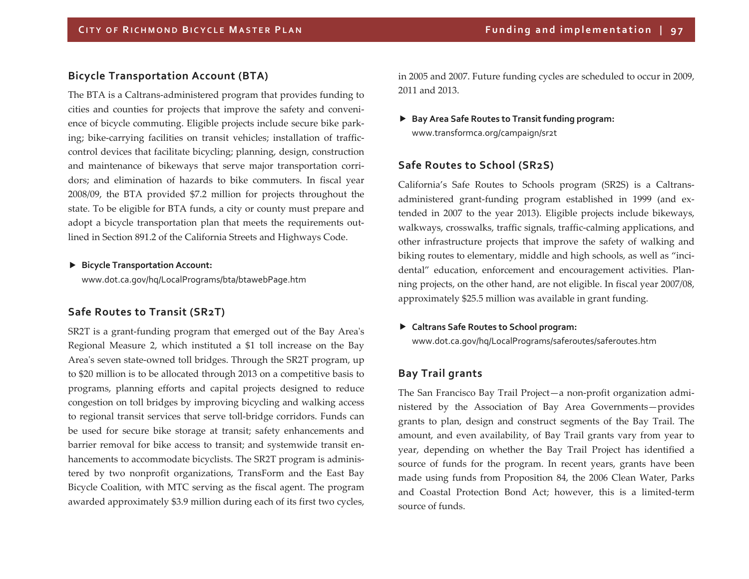# **Bicycle Transportation Account (BTA)**

The BTA is <sup>a</sup> Caltrans‐administered program that provides funding to cities and counties for projects that improve the safety and conveni‐ ence of bicycle commuting. Eligible projects include secure bike park‐ ing; bike-carrying facilities on transit vehicles; installation of trafficcontrol devices that facilitate bicycling; planning, design, construction and maintenance of bikeways that serve major transportation corri‐ dors; and elimination of hazards to bike commuters. In fiscal year 2008/09, the BTA provided \$7.2 million for projects throughout the state. To be eligible for BTA funds, <sup>a</sup> city or county must prepare and adopt a bicycle transportation plan that meets the requirements outlined in Section 891.2 of the California Streets and Highways Code.

#### **Bicycle Transportation Account:**

www.dot.ca.gov/hq/LocalPrograms/bta/btawebPage.htm

### **Safe Routes to Transit (SR2T)**

SR2T is <sup>a</sup> grant‐funding program that emerged out of the Bay Area<sup>ʹ</sup><sup>s</sup> Regional Measure 2, which instituted <sup>a</sup> \$1 toll increase on the Bay Area's seven state-owned toll bridges. Through the SR2T program, up to \$20 million is to be allocated through 2013 on <sup>a</sup> competitive basis to programs, planning efforts and capital projects designed to reduce congestion on toll bridges by improving bicycling and walking access to regional transit services that serve toll‐bridge corridors. Funds can be used for secure bike storage at transit; safety enhancements and barrier removal for bike access to transit; and systemwide transit en‐ hancements to accommodate bicyclists. The SR2T program is adminis‐ tered by two nonprofit organizations, TransForm and the East Bay Bicycle Coalition, with MTC serving as the fiscal agent. The program awarded approximately \$3.9 million during each of its first two cycles,

in 2005 and 2007. Future funding cycles are scheduled to occur in 2009, 2011 and 2013.

 **Bay Area Safe Routes to Transit funding program:** www.transformca.org/campaign/sr2t

### **Safe Routes to School (SR2S)**

California's Safe Routes to Schools program (SR2S) is <sup>a</sup> Caltrans‐ administered grant‐funding program established in 1999 (and ex‐ tended in 2007 to the year 2013). Eligible projects include bikeways, walkways, crosswalks, traffic signals, traffic‐calming applications, and other infrastructure projects that improve the safety of walking and biking routes to elementary, middle and high schools, as well as "incidental" education, enforcement and encouragemen<sup>t</sup> activities. Plan‐ ning projects, on the other hand, are not eligible. In fiscal year 2007/08, approximately \$25.5 million was available in gran<sup>t</sup> funding.

### **Caltrans Safe Routes to School program:**

www.dot.ca.gov/hq/LocalPrograms/saferoutes/saferoutes.htm

# **Bay Trail grants**

The San Francisco Bay Trail Project—a non‐profit organization admi‐ nistered by the Association of Bay Area Governments—provides grants to plan, design and construct segments of the Bay Trail. The amount, and even availability, of Bay Trail grants vary from year to year, depending on whether the Bay Trail Project has identified <sup>a</sup> source of funds for the program. In recent years, grants have been made using funds from Proposition 84, the 2006 Clean Water, Parks and Coastal Protection Bond Act; however, this is <sup>a</sup> limited‐term source of funds.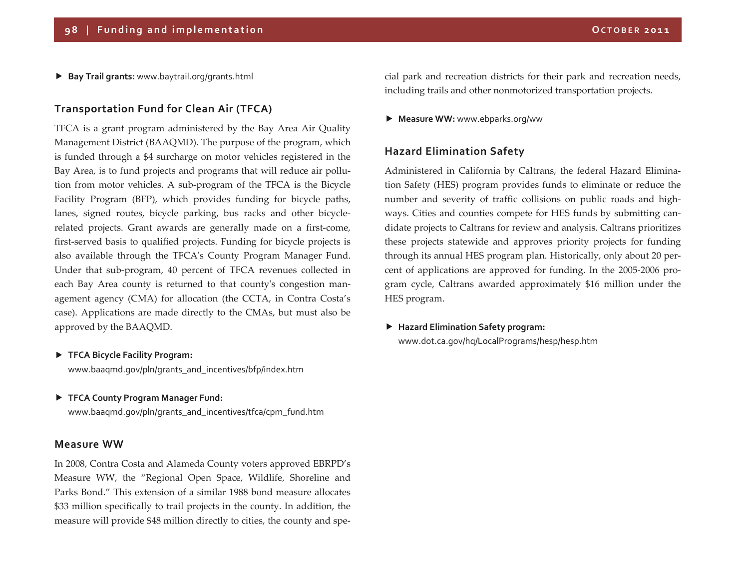**Bay Trail grants:** www.baytrail.org/grants.html

# **Transportation Fund for Clean Air (TFCA)**

TFCA is <sup>a</sup> gran<sup>t</sup> program administered by the Bay Area Air Quality Management District (BAAQMD). The purpose of the program, which is funded through <sup>a</sup> \$4 surcharge on motor vehicles registered in the Bay Area, is to fund projects and programs that will reduce air pollution from motor vehicles. A sub‐program of the TFCA is the Bicycle Facility Program (BFP), which provides funding for bicycle paths, lanes, signed routes, bicycle parking, bus racks and other bicycle‐ related projects. Grant awards are generally made on <sup>a</sup> first‐come, first‐served basis to qualified projects. Funding for bicycle projects is also available through the TFCA<sup>ʹ</sup><sup>s</sup> County Program Manager Fund. Under that sub‐program, 40 percen<sup>t</sup> of TFCA revenues collected in each Bay Area county is returned to that county<sup>ʹ</sup><sup>s</sup> congestion man‐ agemen<sup>t</sup> agency (CMA) for allocation (the CCTA, in Contra Costa's case). Applications are made directly to the CMAs, but must also be approved by the BAAQMD.

#### **TFCA Bicycle Facility Program:**

www.baaqmd.gov/pln/grants\_and\_incentives/bfp/index.htm

#### **TFCA County Program Manager Fund:**

www.baagmd.gov/pln/grants\_and\_incentives/tfca/cpm\_fund.htm

### **Measure WW**

In 2008, Contra Costa and Alameda County voters approved EBRPD's Measure WW, the "Regional Open Space, Wildlife, Shoreline and Parks Bond." This extension of <sup>a</sup> similar 1988 bond measure allocates \$33 million specifically to trail projects in the county. In addition, the measure will provide \$48 million directly to cities, the county and spe‐

cial park and recreation districts for their park and recreation needs, including trails and other nonmotorized transportation projects.

**Measure WW:** www.ebparks.org/ww

### **Hazard Elimination Safety**

Administered in California by Caltrans, the federal Hazard Elimina‐ tion Safety (HES) program provides funds to eliminate or reduce the number and severity of traffic collisions on public roads and high‐ ways. Cities and counties compete for HES funds by submitting candidate projects to Caltrans for review and analysis. Caltrans prioritizes these projects statewide and approves priority projects for funding through its annual HES program plan. Historically, only about 20 per‐ cent of applications are approved for funding. In the 2005‐2006 pro‐ gram cycle, Caltrans awarded approximately \$16 million under the HES program.

 **Hazard Elimination Safety program:** www.dot.ca.gov/hq/LocalPrograms/hesp/hesp.htm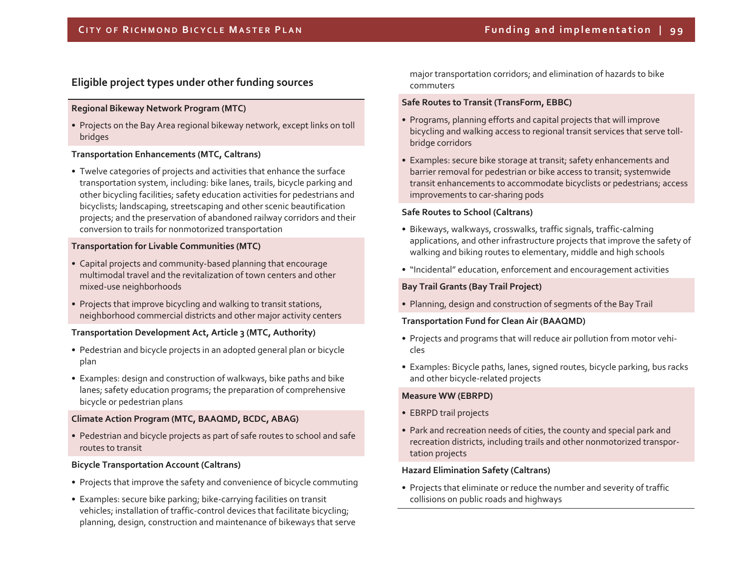# **Eligible project types under other funding sources**

### **Regional Bikeway Network Program (MTC)**

• Projects on the Bay Area regional bikeway network, excep<sup>t</sup> links on toll bridges

#### **Transportation Enhancements (MTC, Caltrans)**

• Twelve categories of projects and activities that enhance the surface transportation system, including: bike lanes, trails, bicycle parking and other bicycling facilities; safety education activities for pedestrians and bicyclists; landscaping, streetscaping and other scenic beautification projects; and the preservation of abandoned railway corridors and their conversion to trails for nonmotorized transportation

### **Transportation for Livable Communities (MTC)**

- Capital projects and community‐based planning that encourage multimodal travel and the revitalization of town centers and other mixed‐use neighborhoods
- Projects that improve bicycling and walking to transit stations, neighborhood commercial districts and other major activity centers

#### **Transportation Development Act, Article 3 (MTC, Authority)**

- Pedestrian and bicycle projects in an adopted general plan or bicycle plan
- Examples: design and construction of walkways, bike paths and bike lanes; safety education programs; the preparation of comprehensive bicycle or pedestrian plans

### **Climate Action Program (MTC, BAAQMD, BCDC, ABAG)**

• Pedestrian and bicycle projects as par<sup>t</sup> of safe routes to school and safe routes to transit

#### **Bicycle Transportation Account (Caltrans)**

- Projects that improve the safety and convenience of bicycle commuting
- Examples: secure bike parking; bike‐carrying facilities on transit vehicles; installation of traffic-control devices that facilitate bicycling; planning, design, construction and maintenance of bikeways that serve

major transportation corridors; and elimination of hazards to bike commuters

#### **Safe Routes to Transit (TransForm, EBBC)**

- Programs, planning efforts and capital projects that will improve bicycling and walking access to regional transit services that serve toll‐ bridge corridors
- Examples: secure bike storage at transit; safety enhancements and barrier removal for pedestrian or bike access to transit; systemwide transit enhancements to accommodate bicyclists or pedestrians; access improvements to car‐sharing pods

#### **Safe Routes to School (Caltrans)**

- Bikeways, walkways, crosswalks, traffic signals, traffic‐calming applications, and other infrastructure projects that improve the safety of walking and biking routes to elementary, middle and high schools
- "Incidental" education, enforcement and encouragemen<sup>t</sup> activities

### **Bay Trail Grants (Bay Trail Project)**

• Planning, design and construction of segments of the Bay Trail

### **Transportation Fund for Clean Air (BAAQMD)**

- Projects and programs that will reduce air pollution from motor vehi‐ cles
- Examples: Bicycle paths, lanes, signed routes, bicycle parking, bus racks and other bicycle‐related projects

### **Measure WW (EBRPD)**

- EBRPD trail projects
- Park and recreation needs of cities, the county and special park and recreation districts, including trails and other nonmotorized transpor‐ tation projects

### **Hazard Elimination Safety (Caltrans)**

• Projects that eliminate or reduce the number and severity of traffic collisions on public roads and highways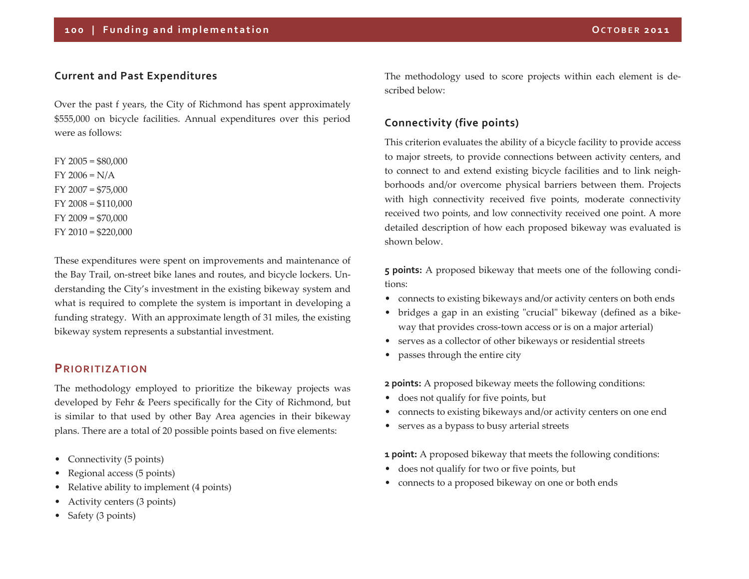### **Current and Past Expenditures**

Over the pas<sup>t</sup> f years, the City of Richmond has spen<sup>t</sup> approximately \$555,000 on bicycle facilities. Annual expenditures over this period were as follows:

FY 2005 <sup>=</sup> \$80,000 FY 2006 <sup>=</sup> N/A FY 2007 <sup>=</sup> \$75,000 FY 2008 <sup>=</sup> \$110,000 FY 2009 <sup>=</sup> \$70,000 FY 2010 <sup>=</sup> \$220,000

These expenditures were spen<sup>t</sup> on improvements and maintenance of the Bay Trail, on‐street bike lanes and routes, and bicycle lockers. Un‐ derstanding the City's investment in the existing bikeway system and what is required to complete the system is important in developing <sup>a</sup> funding strategy. With an approximate length of 31 miles, the existing bikeway system represents <sup>a</sup> substantial investment.

# **PRIORITIZATION**

The methodology employed to prioritize the bikeway projects was developed by Fehr & Peers specifically for the City of Richmond, but is similar to that used by other Bay Area agencies in their bikeway plans. There are <sup>a</sup> total of 20 possible points based on five elements:

- Connectivity (5 points)
- $\bullet$ Regional access (5 points)
- $\bullet$ Relative ability to implement (4 points)
- •Activity centers (3 points)
- $\bullet$ Safety (3 points)

The methodology used to score projects within each element is de‐ scribed below:

# **Connectivity (five points)**

This criterion evaluates the ability of <sup>a</sup> bicycle facility to provide access to major streets, to provide connections between activity centers, and to connect to and extend existing bicycle facilities and to link neigh‐ borhoods and/or overcome physical barriers between them. Projects with high connectivity received five points, moderate connectivity received two points, and low connectivity received one point. A more detailed description of how each proposed bikeway was evaluated is shown below.

**<sup>5</sup> points:** A proposed bikeway that meets one of the following condi‐ tions:

- connects to existing bikeways and/or activity centers on both ends
- bridges a gap in an existing "crucial" bikeway (defined as a bikeway that provides cross-town access or is on a major arterial)
- serves as <sup>a</sup> collector of other bikeways or residential streets
- passes through the entire city

**2 points:** A proposed bikeway meets the following conditions:

- does not qualify for five points, but
- connects to existing bikeways and/or activity centers on one end
- serves as <sup>a</sup> bypass to busy arterial streets

**1 point:** A proposed bikeway that meets the following conditions:

- does not qualify for two or five points, but
- connects to <sup>a</sup> proposed bikeway on one or both ends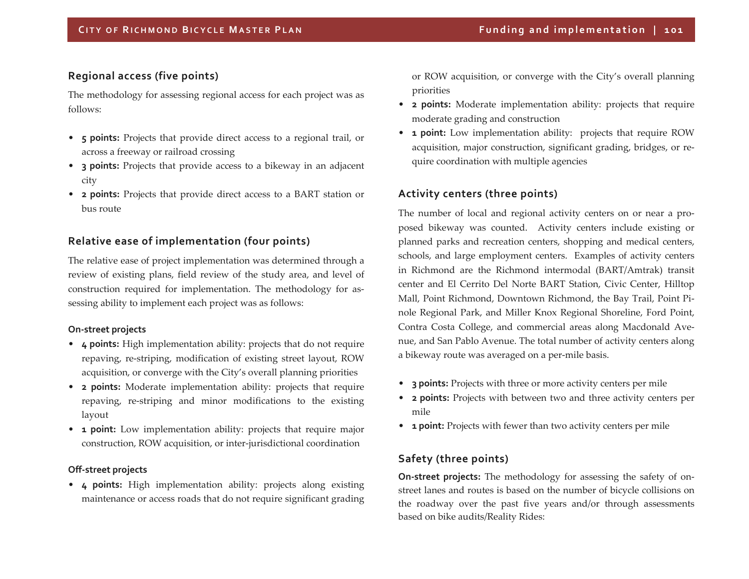# **Regional access (five points)**

The methodology for assessing regional access for each project was as follows:

- **<sup>5</sup> points:** Projects that provide direct access to <sup>a</sup> regional trail, or across a freeway or railroad crossing
- **3 points:** Projects that provide access to <sup>a</sup> bikeway in an adjacent city
- **<sup>2</sup> points:** Projects that provide direct access to <sup>a</sup> BART station or bus route

# **Relative ease of implementation (four points)**

The relative ease of project implementation was determined through <sup>a</sup> review of existing plans, field review of the study area, and level of construction required for implementation. The methodology for as‐ sessing ability to implement each project was as follows:

### **On‐street projects**

- **<sup>4</sup> points:** High implementation ability: projects that do not require repaving, re‐striping, modification of existing street layout, ROW acquisition, or converge with the City's overall planning priorities
- **<sup>2</sup> points:** Moderate implementation ability: projects that require repaving, re‐striping and minor modifications to the existing layout
- **<sup>1</sup> point:** Low implementation ability: projects that require major construction, ROW acquisition, or inter‐jurisdictional coordination

# **Off‐street projects**

• **<sup>4</sup> points:** High implementation ability: projects along existing maintenance or access roads that do not require significant grading

or ROW acquisition, or converge with the City's overall planning priorities

- **<sup>2</sup> points:** Moderate implementation ability: projects that require moderate grading and construction
- **<sup>1</sup> point:** Low implementation ability: projects that require ROW acquisition, major construction, significant grading, bridges, or re‐ quire coordination with multiple agencies

# **Activity centers (three points)**

The number of local and regional activity centers on or near <sup>a</sup> pro‐ posed bikeway was counted. Activity centers include existing or planned parks and recreation centers, shopping and medical centers, schools, and large employment centers. Examples of activity centers in Richmond are the Richmond intermodal (BART/Amtrak) transit center and El Cerrito Del Norte BART Station, Civic Center, Hilltop Mall, Point Richmond, Downtown Richmond, the Bay Trail, Point Pi‐ nole Regional Park, and Miller Knox Regional Shoreline, Ford Point, Contra Costa College, and commercial areas along Macdonald Ave‐ nue, and San Pablo Avenue. The total number of activity centers along a bikeway route was averaged on <sup>a</sup> per‐mile basis.

- **3 points:** Projects with three or more activity centers per mile
- **<sup>2</sup> points:** Projects with between two and three activity centers per mile
- **<sup>1</sup> point:** Projects with fewer than two activity centers per mile

# **Safety (three points)**

**On‐street projects:** The methodology for assessing the safety of on‐ street lanes and routes is based on the number of bicycle collisions on the roadway over the pas<sup>t</sup> five years and/or through assessments based on bike audits/Reality Rides: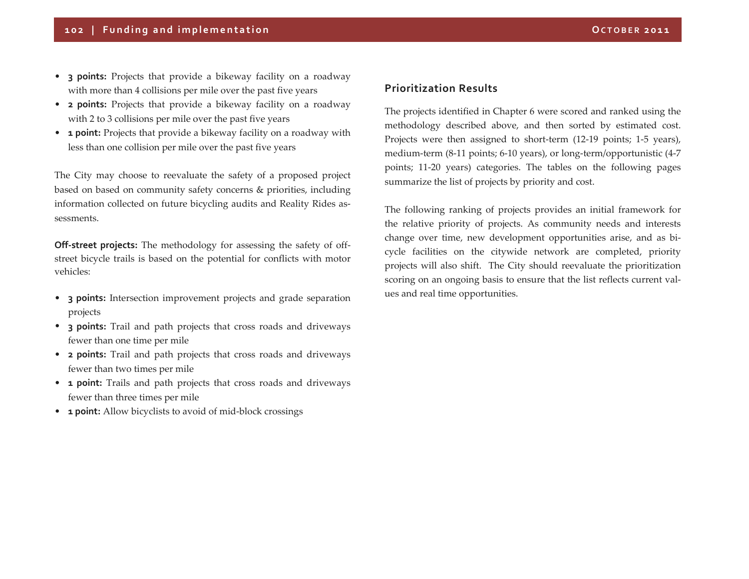- **3 points:** Projects that provide <sup>a</sup> bikeway facility on <sup>a</sup> roadway with more than <sup>4</sup> collisions per mile over the pas<sup>t</sup> five years
- **<sup>2</sup> points:** Projects that provide <sup>a</sup> bikeway facility on <sup>a</sup> roadway with <sup>2</sup> to 3 collisions per mile over the pas<sup>t</sup> five years
- **<sup>1</sup> point:** Projects that provide <sup>a</sup> bikeway facility on <sup>a</sup> roadway with less than one collision per mile over the pas<sup>t</sup> five years

The City may choose to reevaluate the safety of <sup>a</sup> proposed project based on based on community safety concerns & priorities, including information collected on future bicycling audits and Reality Rides as‐ sessments.

**Off‐street projects:** The methodology for assessing the safety of off‐ street bicycle trails is based on the potential for conflicts with motor vehicles:

- **3 points:** Intersection improvement projects and grade separation projects
- **3 points:** Trail and path projects that cross roads and driveways fewer than one time per mile
- **<sup>2</sup> points:** Trail and path projects that cross roads and driveways fewer than two times per mile
- **<sup>1</sup> point:** Trails and path projects that cross roads and driveways fewer than three times per mile
- **<sup>1</sup> point:** Allow bicyclists to avoid of mid‐block crossings

# **Prioritization Results**

The projects identified in Chapter 6 were scored and ranked using the methodology described above, and then sorted by estimated cost. Projects were then assigned to short-term (12-19 points; 1-5 years), medium‐term (8‐<sup>11</sup> points; 6‐10 years), or long‐term/opportunistic (4‐<sup>7</sup> points; <sup>11</sup>‐20 years) categories. The tables on the following pages summarize the list of projects by priority and cost.

The following ranking of projects provides an initial framework for the relative priority of projects. As community needs and interests change over time, new development opportunities arise, and as bi‐ cycle facilities on the citywide network are completed, priority projects will also shift. The City should reevaluate the prioritization scoring on an ongoing basis to ensure that the list reflects current values and real time opportunities.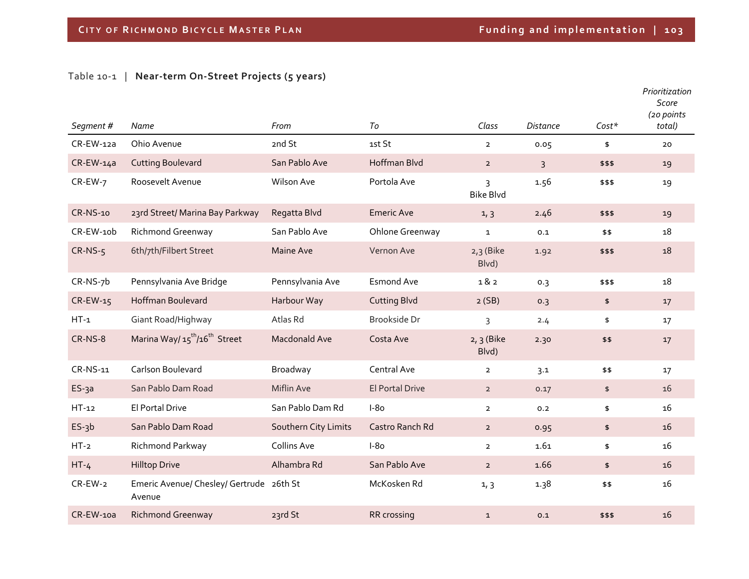Table <sup>10</sup>‐<sup>1</sup> | **Near‐term On‐Street Projects (5 years)**

| Segment #     | Name                                                  | From                 | To                     | Class                 | <b>Distance</b> | $Cost*$ | Prioritization<br>Score<br>(20 points<br>total) |
|---------------|-------------------------------------------------------|----------------------|------------------------|-----------------------|-----------------|---------|-------------------------------------------------|
| $CR$ -EW-12a  | Ohio Avenue                                           | 2nd St               | 1st St                 | $\overline{2}$        | 0.05            | \$      | 20                                              |
| $CR$ -EW-14a  | <b>Cutting Boulevard</b>                              | San Pablo Ave        | Hoffman Blvd           | $\overline{2}$        | $\overline{3}$  | \$\$\$  | 19                                              |
| $CR$ -EW- $7$ | Roosevelt Avenue                                      | <b>Wilson Ave</b>    | Portola Ave            | 3<br><b>Bike Blvd</b> | 1.56            | \$\$\$  | 19                                              |
| CR-NS-10      | 23rd Street/ Marina Bay Parkway                       | Regatta Blvd         | <b>Emeric Ave</b>      | 1, 3                  | 2.46            | \$\$\$  | 19                                              |
| CR-EW-10b     | Richmond Greenway                                     | San Pablo Ave        | Ohlone Greenway        | $\mathbf{1}$          | 0.1             | \$\$    | 18                                              |
| $CR-NS-5$     | 6th/7th/Filbert Street                                | Maine Ave            | Vernon Ave             | $2,3$ (Bike<br>Blvd)  | 1.92            | \$\$\$  | 18                                              |
| CR-NS-7b      | Pennsylvania Ave Bridge                               | Pennsylvania Ave     | <b>Esmond Ave</b>      | 182                   | 0.3             | \$\$\$  | 18                                              |
| CR-EW-15      | <b>Hoffman Boulevard</b>                              | Harbour Way          | <b>Cutting Blvd</b>    | 2(SB)                 | 0.3             | \$      | 17                                              |
| $HT-1$        | Giant Road/Highway                                    | Atlas Rd             | <b>Brookside Dr</b>    | 3                     | 2.4             | \$      | 17                                              |
| $CR-NS-8$     | Marina Way/ 15 <sup>th</sup> /16 <sup>th</sup> Street | Macdonald Ave        | Costa Ave              | $2, 3$ (Bike<br>Blvd) | 2.30            | \$\$    | $17$                                            |
| CR-NS-11      | Carlson Boulevard                                     | Broadway             | Central Ave            | $\overline{2}$        | 3.1             | \$\$    | 17                                              |
| $ES-3a$       | San Pablo Dam Road                                    | Miflin Ave           | <b>El Portal Drive</b> | $\overline{2}$        | 0.17            | \$      | 16                                              |
| $HT-12$       | El Portal Drive                                       | San Pablo Dam Rd     | $I-80$                 | $\overline{2}$        | 0.2             | \$      | 16                                              |
| $ES-3b$       | San Pablo Dam Road                                    | Southern City Limits | Castro Ranch Rd        | $\overline{2}$        | 0.95            | \$      | 16                                              |
| $HT-2$        | Richmond Parkway                                      | Collins Ave          | $I-80$                 | $\overline{2}$        | 1.61            | \$      | 16                                              |
| $HT-4$        | <b>Hilltop Drive</b>                                  | Alhambra Rd          | San Pablo Ave          | $\overline{2}$        | 1.66            | \$      | 16                                              |
| $CR$ -EW-2    | Emeric Avenue/ Chesley/ Gertrude 26th St<br>Avenue    |                      | McKosken Rd            | 1, 3                  | 1.38            | \$\$    | 16                                              |
| $CR$ -EW-10a  | Richmond Greenway                                     | 23rd St              | RR crossing            | $\mathbf{1}$          | 0.1             | \$\$\$  | 16                                              |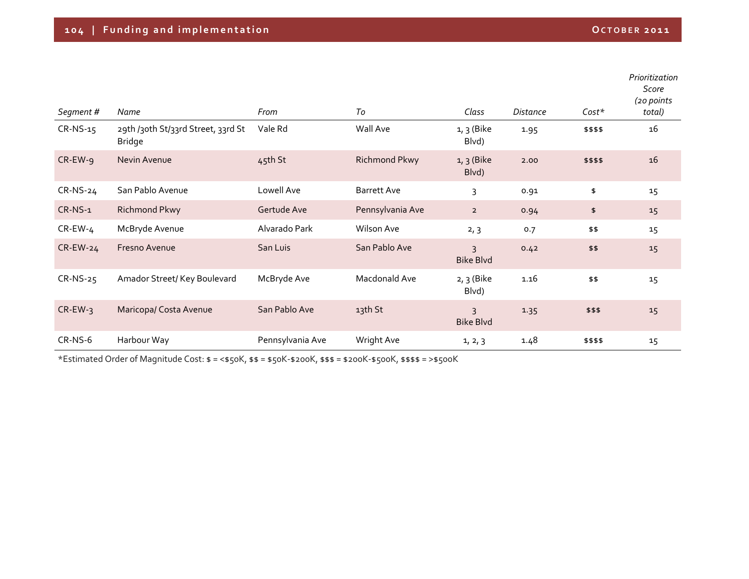| Segment#    | Name                                                | From             | To                 | Class                              | Distance | $Cost*$  | Prioritization<br>Score<br>(20 points<br>total) |
|-------------|-----------------------------------------------------|------------------|--------------------|------------------------------------|----------|----------|-------------------------------------------------|
| CR-NS-15    | 29th /30th St/33rd Street, 33rd St<br><b>Bridge</b> | Vale Rd          | Wall Ave           | $1, 3$ (Bike<br>Blvd)              | 1.95     | \$\$\$\$ | 16                                              |
| $CR$ -EW-9  | Nevin Avenue                                        | 45th St          | Richmond Pkwy      | $1, 3$ (Bike<br>Blvd)              | 2.00     | \$\$\$\$ | 16                                              |
| $CR-NS-24$  | San Pablo Avenue                                    | Lowell Ave       | <b>Barrett Ave</b> | 3                                  | 0.91     | \$       | 15                                              |
| $CR-NS-1$   | Richmond Pkwy                                       | Gertude Ave      | Pennsylvania Ave   | $\overline{2}$                     | 0.94     | \$       | 15                                              |
| $CR$ -EW-4  | McBryde Avenue                                      | Alvarado Park    | Wilson Ave         | 2, 3                               | 0.7      | \$\$     | 15                                              |
| $CR$ -EW-24 | Fresno Avenue                                       | San Luis         | San Pablo Ave      | $\overline{3}$<br><b>Bike Blvd</b> | 0.42     | \$\$     | 15                                              |
| $CR-NS-25$  | Amador Street/ Key Boulevard                        | McBryde Ave      | Macdonald Ave      | $2, 3$ (Bike<br>Blvd)              | 1.16     | \$\$     | 15                                              |
| $CR$ -EW-3  | Maricopa/ Costa Avenue                              | San Pablo Ave    | 13th St            | 3<br><b>Bike Blvd</b>              | 1.35     | \$\$\$   | 15                                              |
| $CR-NS-6$   | Harbour Way                                         | Pennsylvania Ave | Wright Ave         | 1, 2, 3                            | 1.48     | \$\$\$\$ | 15                                              |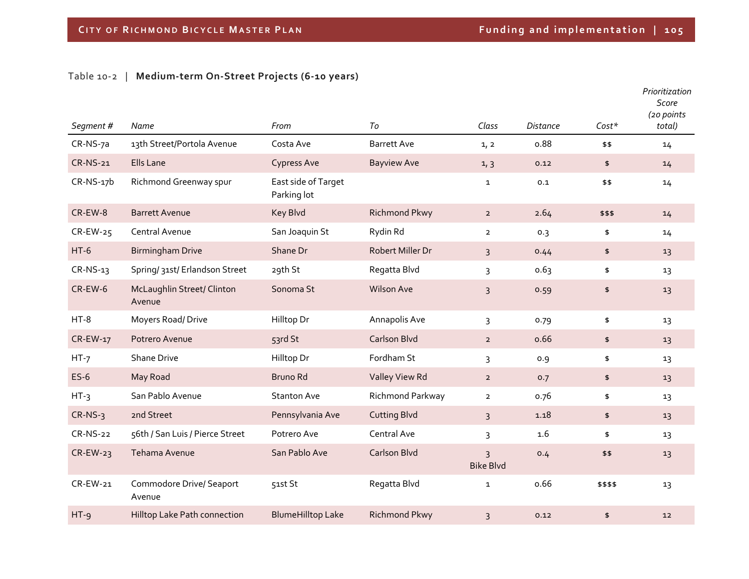Table 10‐2 | **Medium‐term On‐Street Projects (6‐<sup>10</sup> years)**

| Segment #       | Name                                 | From                               | To                   | Class                              | <b>Distance</b> | $Cost*$  | Prioritization<br>Score<br>(20 points<br>total) |
|-----------------|--------------------------------------|------------------------------------|----------------------|------------------------------------|-----------------|----------|-------------------------------------------------|
| CR-NS-7a        | 13th Street/Portola Avenue           | Costa Ave                          | <b>Barrett Ave</b>   | 1, 2                               | 0.88            | \$\$     | 14                                              |
| CR-NS-21        | Ells Lane                            | <b>Cypress Ave</b>                 | <b>Bayview Ave</b>   | 1, 3                               | 0.12            | \$       | 14                                              |
| $CR$ -NS-17 $b$ | Richmond Greenway spur               | East side of Target<br>Parking lot |                      | $\mathbf{1}$                       | 0.1             | \$\$     | 14                                              |
| CR-EW-8         | <b>Barrett Avenue</b>                | Key Blvd                           | Richmond Pkwy        | $\overline{2}$                     | 2.64            | \$\$\$   | 14                                              |
| $CR$ -EW-25     | Central Avenue                       | San Joaquin St                     | Rydin Rd             | $\overline{2}$                     | 0.3             | \$       | 14                                              |
| $HT-6$          | <b>Birmingham Drive</b>              | Shane Dr                           | Robert Miller Dr     | $\overline{3}$                     | 0.44            | \$       | 13                                              |
| $CR-NS-13$      | Spring/ 31st/ Erlandson Street       | 29th St                            | Regatta Blvd         | 3                                  | 0.63            | \$       | 13                                              |
| $CR$ -EW-6      | McLaughlin Street/ Clinton<br>Avenue | Sonoma St                          | <b>Wilson Ave</b>    | $\overline{3}$                     | 0.59            | \$       | 13                                              |
| $HT-8$          | Moyers Road/Drive                    | Hilltop Dr                         | Annapolis Ave        | 3                                  | 0.79            | \$       | 13                                              |
| CR-EW-17        | Potrero Avenue                       | 53rd St                            | Carlson Blvd         | $\overline{2}$                     | 0.66            | \$       | 13                                              |
| $HT-7$          | <b>Shane Drive</b>                   | Hilltop Dr                         | Fordham St           | 3                                  | 0.9             | \$       | 13                                              |
| $ES-6$          | May Road                             | Bruno Rd                           | Valley View Rd       | $\overline{2}$                     | 0.7             | \$       | 13                                              |
| $HT-3$          | San Pablo Avenue                     | <b>Stanton Ave</b>                 | Richmond Parkway     | $\overline{2}$                     | 0.76            | \$       | 13                                              |
| $CR-NS-3$       | 2nd Street                           | Pennsylvania Ave                   | <b>Cutting Blvd</b>  | $\overline{3}$                     | 1.18            | \$       | 13                                              |
| <b>CR-NS-22</b> | 56th / San Luis / Pierce Street      | Potrero Ave                        | Central Ave          | 3                                  | 1.6             | \$       | 13                                              |
| $CR$ -EW-23     | Tehama Avenue                        | San Pablo Ave                      | Carlson Blvd         | $\overline{3}$<br><b>Bike Blvd</b> | 0.4             | \$\$     | 13                                              |
| $CR$ -EW-21     | Commodore Drive/ Seaport<br>Avenue   | 51st St                            | Regatta Blvd         | $\mathbf{1}$                       | 0.66            | \$\$\$\$ | 13                                              |
| $HT - 9$        | Hilltop Lake Path connection         | <b>BlumeHilltop Lake</b>           | <b>Richmond Pkwy</b> | 3                                  | 0.12            | \$       | 12                                              |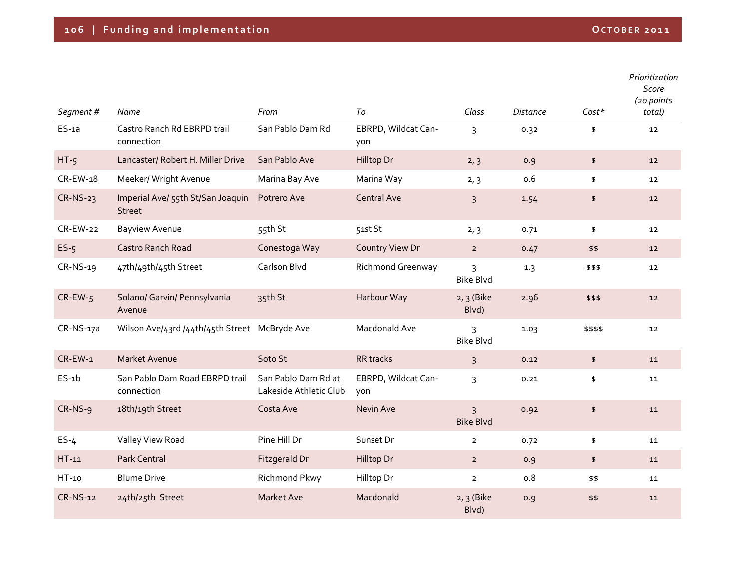| Segment#        | Name                                               | From                                          | To                         | Class                              | Distance | $Cost*$              | Prioritization<br><b>Score</b><br>(20 points<br>total) |
|-----------------|----------------------------------------------------|-----------------------------------------------|----------------------------|------------------------------------|----------|----------------------|--------------------------------------------------------|
| $ES-1a$         | Castro Ranch Rd EBRPD trail<br>connection          | San Pablo Dam Rd                              | EBRPD, Wildcat Can-<br>yon | $\overline{3}$                     | 0.32     | \$                   | 12                                                     |
| $HT - 5$        | Lancaster/ Robert H. Miller Drive                  | San Pablo Ave                                 | Hilltop Dr                 | 2, 3                               | 0.9      | $\pmb{\mathfrak{s}}$ | 12                                                     |
| CR-EW-18        | Meeker/ Wright Avenue                              | Marina Bay Ave                                | Marina Way                 | 2, 3                               | 0.6      | \$                   | 12                                                     |
| $CR-NS-23$      | Imperial Ave/ 55th St/San Joaquin<br><b>Street</b> | Potrero Ave                                   | Central Ave                | $\overline{3}$                     | 1.54     | \$                   | 12                                                     |
| $CR$ -EW-22     | <b>Bayview Avenue</b>                              | 55th St                                       | 51st St                    | 2, 3                               | 0.71     | \$                   | 12                                                     |
| $ES-5$          | Castro Ranch Road                                  | Conestoga Way                                 | Country View Dr            | $\overline{2}$                     | 0.47     | \$\$                 | 12                                                     |
| CR-NS-19        | 47th/49th/45th Street                              | Carlson Blvd                                  | <b>Richmond Greenway</b>   | 3<br><b>Bike Blvd</b>              | 1.3      | \$\$\$               | 12                                                     |
| $CR$ -EW- $5$   | Solano/ Garvin/ Pennsylvania<br>Avenue             | 35th St                                       | Harbour Way                | 2, 3 (Bike<br>Blvd)                | 2.96     | \$\$\$               | 12                                                     |
| CR-NS-17a       | Wilson Ave/43rd /44th/45th Street McBryde Ave      |                                               | Macdonald Ave              | 3<br><b>Bike Blvd</b>              | 1.03     | \$\$\$\$             | 12                                                     |
| $CR$ -EW-1      | Market Avenue                                      | Soto St                                       | RR tracks                  | $\overline{3}$                     | 0.12     | \$                   | 11                                                     |
| $ES-1b$         | San Pablo Dam Road EBRPD trail<br>connection       | San Pablo Dam Rd at<br>Lakeside Athletic Club | EBRPD, Wildcat Can-<br>yon | 3                                  | 0.21     | \$                   | 11                                                     |
| $CR-NS-9$       | 18th/19th Street                                   | Costa Ave                                     | Nevin Ave                  | $\overline{3}$<br><b>Bike Blvd</b> | 0.92     | \$                   | 11                                                     |
| $ES-4$          | Valley View Road                                   | Pine Hill Dr                                  | Sunset Dr                  | $\overline{2}$                     | 0.72     | \$                   | 11                                                     |
| $HT-11$         | Park Central                                       | Fitzgerald Dr                                 | Hilltop Dr                 | $\overline{2}$                     | 0.9      | \$                   | 11                                                     |
| HT-10           | <b>Blume Drive</b>                                 | Richmond Pkwy                                 | Hilltop Dr                 | $\overline{2}$                     | 0.8      | \$\$                 | 11                                                     |
| <b>CR-NS-12</b> | 24th/25th Street                                   | Market Ave                                    | Macdonald                  | $2, 3$ (Bike<br>Blvd)              | 0.9      | \$\$                 | 11                                                     |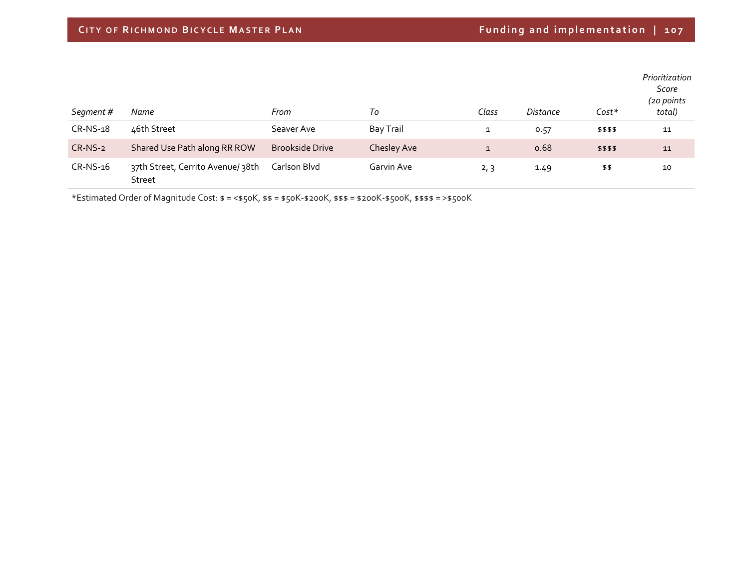| Segment #  | Name                                              | From                   | To               | Class        | <b>Distance</b> | $Cost*$  | Prioritization<br>Score<br>(20 points<br>total) |
|------------|---------------------------------------------------|------------------------|------------------|--------------|-----------------|----------|-------------------------------------------------|
| $CR-NS-18$ | 46th Street                                       | Seaver Ave             | <b>Bay Trail</b> | л.           | 0.57            | \$\$\$\$ | 11                                              |
| $CR-NS-2$  | Shared Use Path along RR ROW                      | <b>Brookside Drive</b> | Chesley Ave      | $\mathbf{1}$ | 0.68            | \$\$\$\$ | 11                                              |
| $CR-NS-16$ | 37th Street, Cerrito Avenue/38th<br><b>Street</b> | Carlson Blvd           | Garvin Ave       | 2, 3         | 1.49            | \$\$     | 10                                              |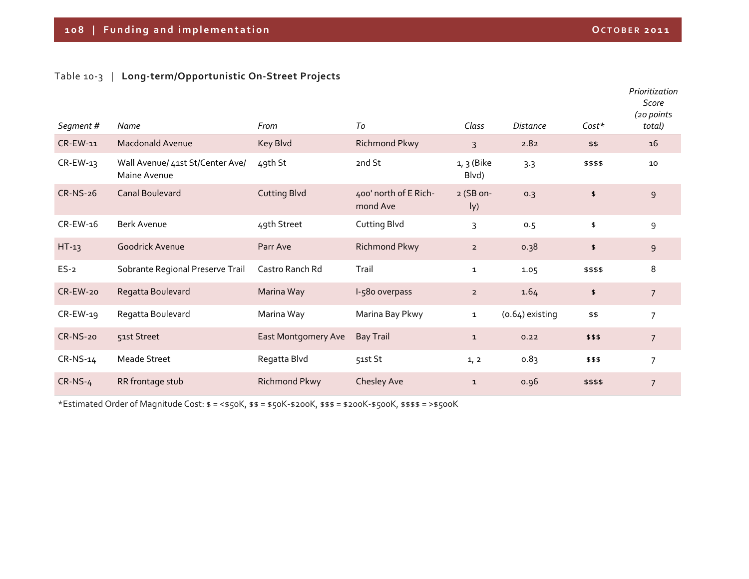### Table <sup>10</sup>‐3 | **Long‐term/Opportunistic On‐Street Projects**

| Segment#        | Name                                             | From                | To                                | Class                 | <b>Distance</b>   | $Cost*$  | Prioritization<br>Score<br>(20 points<br>total) |
|-----------------|--------------------------------------------------|---------------------|-----------------------------------|-----------------------|-------------------|----------|-------------------------------------------------|
| $CR$ -EW-11     | <b>Macdonald Avenue</b>                          | Key Blvd            | Richmond Pkwy                     | $\overline{3}$        | 2.82              | \$\$     | 16                                              |
| $CR$ -EW-13     | Wall Avenue/ 41st St/Center Ave/<br>Maine Avenue | 49th St             | 2nd St                            | $1, 3$ (Bike<br>Blvd) | 3.3               | \$\$\$\$ | 10                                              |
| CR-NS-26        | <b>Canal Boulevard</b>                           | <b>Cutting Blvd</b> | 400' north of E Rich-<br>mond Ave | 2 (SB on-<br>ly)      | 0.3               | \$       | 9                                               |
| CR-EW-16        | <b>Berk Avenue</b>                               | 49th Street         | <b>Cutting Blvd</b>               | 3                     | 0.5               | \$       | 9                                               |
| $HT-13$         | Goodrick Avenue                                  | Parr Ave            | Richmond Pkwy                     | $\overline{2}$        | 0.38              | \$       | $\overline{9}$                                  |
| $ES-2$          | Sobrante Regional Preserve Trail                 | Castro Ranch Rd     | Trail                             | $\mathbf{1}$          | 1.05              | \$\$\$\$ | 8                                               |
| <b>CR-EW-20</b> | Regatta Boulevard                                | Marina Way          | I-580 overpass                    | $\overline{2}$        | 1.64              | \$       | $\overline{7}$                                  |
| $CR$ -EW-19     | Regatta Boulevard                                | Marina Way          | Marina Bay Pkwy                   | $\mathbf{1}$          | $(0.64)$ existing | \$\$     | $\overline{7}$                                  |
| <b>CR-NS-20</b> | 51st Street                                      | East Montgomery Ave | <b>Bay Trail</b>                  | $\mathbf{1}$          | 0.22              | \$\$\$   | $\overline{7}$                                  |
| CR-NS-14        | <b>Meade Street</b>                              | Regatta Blvd        | 51st St                           | 1, 2                  | 0.83              | \$\$\$   | $\overline{7}$                                  |
| $CR-NS-4$       | RR frontage stub                                 | Richmond Pkwy       | Chesley Ave                       | $\mathbf{1}$          | 0.96              | \$\$\$\$ | $\overline{7}$                                  |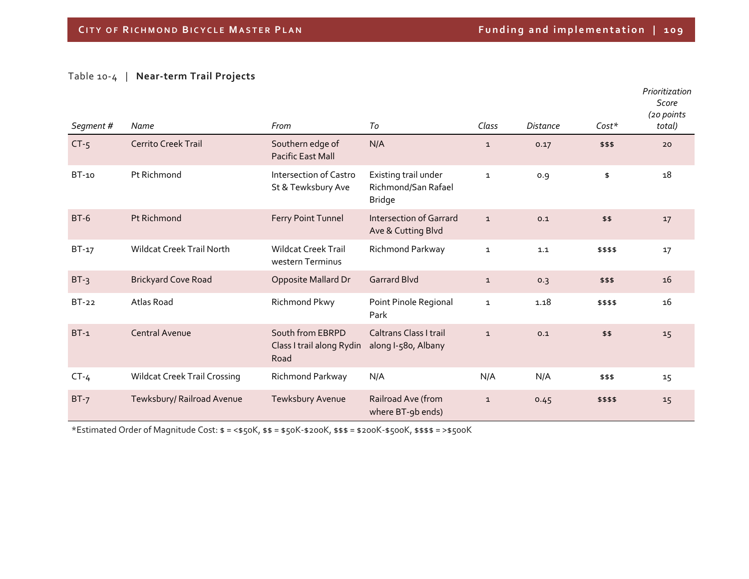### Table <sup>10</sup>‐<sup>4</sup> | **Near‐term Trail Projects**

| Segment#    | Name                                | From                                                  | To                                                           | Class        | <b>Distance</b> | $Cost*$  | Prioritization<br>Score<br>(20 points<br>total) |
|-------------|-------------------------------------|-------------------------------------------------------|--------------------------------------------------------------|--------------|-----------------|----------|-------------------------------------------------|
| $CT-5$      | <b>Cerrito Creek Trail</b>          | Southern edge of<br><b>Pacific East Mall</b>          | N/A                                                          | $\mathbf{1}$ | 0.17            | \$\$\$   | 20                                              |
| BT-10       | Pt Richmond                         | Intersection of Castro<br>St & Tewksbury Ave          | Existing trail under<br>Richmond/San Rafael<br><b>Bridge</b> | $\mathbf{1}$ | 0.9             | \$       | 18                                              |
| <b>BT-6</b> | Pt Richmond                         | Ferry Point Tunnel                                    | <b>Intersection of Garrard</b><br>Ave & Cutting Blvd         | $\mathbf{1}$ | 0.1             | \$5      | 17                                              |
| $BT-17$     | <b>Wildcat Creek Trail North</b>    | <b>Wildcat Creek Trail</b><br>western Terminus        | Richmond Parkway                                             | $\mathbf{1}$ | 1.1             | \$\$\$\$ | 17                                              |
| $BT-3$      | <b>Brickyard Cove Road</b>          | Opposite Mallard Dr                                   | <b>Garrard Blvd</b>                                          | $\mathbf{1}$ | 0.3             | \$\$\$   | 16                                              |
| $BT-22$     | Atlas Road                          | Richmond Pkwy                                         | Point Pinole Regional<br>Park                                | $\mathbf{1}$ | 1.18            | \$\$\$\$ | 16                                              |
| $BT-1$      | <b>Central Avenue</b>               | South from EBRPD<br>Class I trail along Rydin<br>Road | <b>Caltrans Class I trail</b><br>along I-580, Albany         | $\mathbf{1}$ | 0.1             | \$5      | 15                                              |
| $CT-4$      | <b>Wildcat Creek Trail Crossing</b> | Richmond Parkway                                      | N/A                                                          | N/A          | N/A             | \$\$\$   | 15                                              |
| $BT-7$      | Tewksbury/ Railroad Avenue          | Tewksbury Avenue                                      | Railroad Ave (from<br>where BT-9b ends)                      | $\mathbf{1}$ | 0.45            | \$\$\$\$ | 15                                              |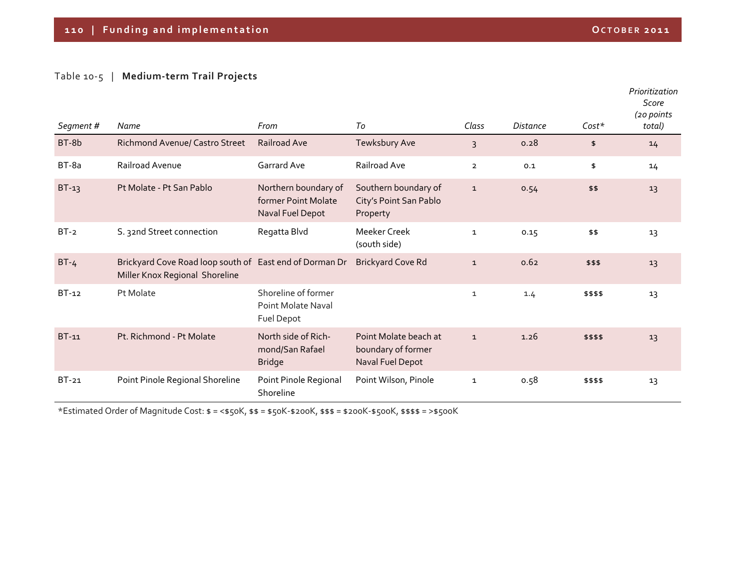### Table <sup>10</sup>‐5 | **Medium‐term Trail Projects**

| Segment# | Name                                                                                      | From                                                            | To                                                              | Class          | <b>Distance</b> | $Cost*$  | Prioritization<br>Score<br>(20 points<br>total) |
|----------|-------------------------------------------------------------------------------------------|-----------------------------------------------------------------|-----------------------------------------------------------------|----------------|-----------------|----------|-------------------------------------------------|
| BT-8b    | Richmond Avenue/ Castro Street                                                            | Railroad Ave                                                    | Tewksbury Ave                                                   | $\overline{3}$ | 0.28            | \$       | 14                                              |
| $BT-8a$  | Railroad Avenue                                                                           | Garrard Ave                                                     | Railroad Ave                                                    | $\overline{2}$ | 0.1             | \$       | 14                                              |
| $BT-13$  | Pt Molate - Pt San Pablo                                                                  | Northern boundary of<br>former Point Molate<br>Naval Fuel Depot | Southern boundary of<br>City's Point San Pablo<br>Property      | $\mathbf{1}$   | 0.54            | \$5      | 13                                              |
| $BT-2$   | S. 32nd Street connection                                                                 | Regatta Blvd                                                    | <b>Meeker Creek</b><br>(south side)                             | $\mathbf{1}$   | 0.15            | \$\$     | 13                                              |
| $BT-4$   | Brickyard Cove Road loop south of East end of Dorman Dr<br>Miller Knox Regional Shoreline |                                                                 | <b>Brickyard Cove Rd</b>                                        | $\mathbf{1}$   | 0.62            | \$\$\$   | 13                                              |
| $BT-12$  | Pt Molate                                                                                 | Shoreline of former<br>Point Molate Naval<br>Fuel Depot         |                                                                 | $\mathbf{1}$   | 1.4             | \$\$\$\$ | 13                                              |
| $BT-11$  | Pt. Richmond - Pt Molate                                                                  | North side of Rich-<br>mond/San Rafael<br><b>Bridge</b>         | Point Molate beach at<br>boundary of former<br>Naval Fuel Depot | $\mathbf{1}$   | 1.26            | \$\$\$\$ | 13                                              |
| $BT-21$  | Point Pinole Regional Shoreline                                                           | Point Pinole Regional<br>Shoreline                              | Point Wilson, Pinole                                            | $\mathbf{1}$   | 0.58            | \$\$\$\$ | 13                                              |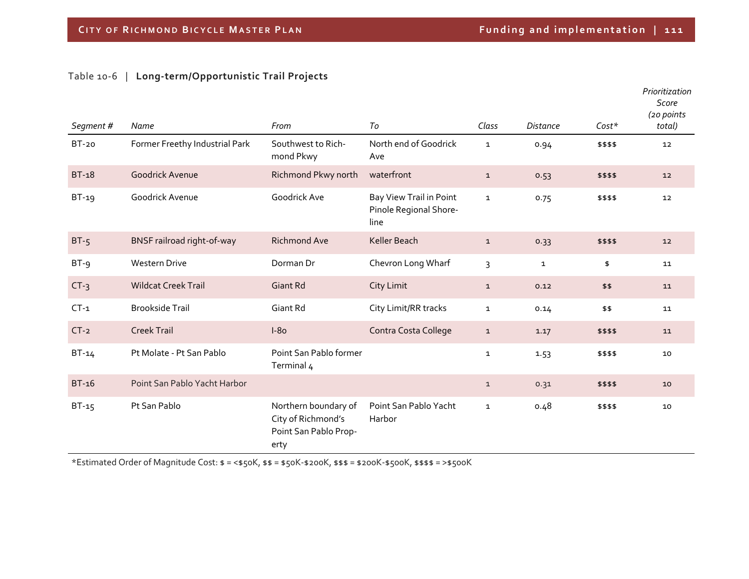### Table <sup>10</sup>‐6 | **Long‐term/Opportunistic Trail Projects**

|              |                                |                                                                             |                                                           |              |                 |          | Prioritization<br><b>Score</b><br>(20 points |
|--------------|--------------------------------|-----------------------------------------------------------------------------|-----------------------------------------------------------|--------------|-----------------|----------|----------------------------------------------|
| Segment#     | Name                           | From                                                                        | To                                                        | Class        | <b>Distance</b> | $Cost*$  | total)                                       |
| <b>BT-20</b> | Former Freethy Industrial Park | Southwest to Rich-<br>mond Pkwy                                             | North end of Goodrick<br>Ave                              | $\mathbf{1}$ | 0.94            | \$\$\$\$ | 12                                           |
| <b>BT-18</b> | Goodrick Avenue                | Richmond Pkwy north                                                         | waterfront                                                | $\mathbf{1}$ | 0.53            | \$\$\$\$ | 12                                           |
| $BT-19$      | Goodrick Avenue                | Goodrick Ave                                                                | Bay View Trail in Point<br>Pinole Regional Shore-<br>line | $\mathbf{1}$ | 0.75            | \$\$\$\$ | 12                                           |
| $BT-5$       | BNSF railroad right-of-way     | <b>Richmond Ave</b>                                                         | Keller Beach                                              | $\mathbf{1}$ | 0.33            | \$\$\$\$ | 12                                           |
| $BT-9$       | Western Drive                  | Dorman Dr                                                                   | Chevron Long Wharf                                        | 3            | $\mathbf{1}$    | \$       | 11                                           |
| $CT-3$       | <b>Wildcat Creek Trail</b>     | <b>Giant Rd</b>                                                             | City Limit                                                | $\mathbf{1}$ | 0.12            | \$\$     | 11                                           |
| $CT-1$       | <b>Brookside Trail</b>         | <b>Giant Rd</b>                                                             | City Limit/RR tracks                                      | $\mathbf{1}$ | 0.14            | \$\$     | 11                                           |
| $CT-2$       | <b>Creek Trail</b>             | $I-80$                                                                      | Contra Costa College                                      | $\mathbf{1}$ | 1.17            | \$\$\$\$ | 11                                           |
| $BT-14$      | Pt Molate - Pt San Pablo       | Point San Pablo former<br>Terminal 4                                        |                                                           | $\mathbf{1}$ | 1.53            | \$\$\$\$ | 10                                           |
| BT-16        | Point San Pablo Yacht Harbor   |                                                                             |                                                           | $\mathbf{1}$ | 0.31            | \$\$\$\$ | 10                                           |
| $BT-15$      | Pt San Pablo                   | Northern boundary of<br>City of Richmond's<br>Point San Pablo Prop-<br>erty | Point San Pablo Yacht<br>Harbor                           | $\mathbf{1}$ | 0.48            | \$\$\$\$ | 10                                           |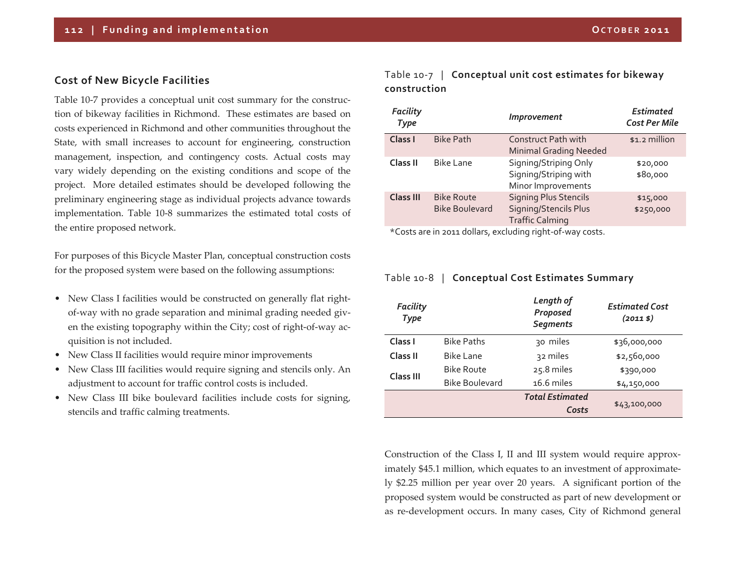### **Cost of New Bicycle Facilities**

Table 10‐7 provides <sup>a</sup> conceptual unit cost summary for the construc‐ tion of bikeway facilities in Richmond. These estimates are based on costs experienced in Richmond and other communities throughout the State, with small increases to account for engineering, construction management, inspection, and contingency costs. Actual costs may vary widely depending on the existing conditions and scope of the project. More detailed estimates should be developed following the preliminary engineering stage as individual projects advance towards implementation. Table 10‐<sup>8</sup> summarizes the estimated total costs of the entire proposed network.

For purposes of this Bicycle Master Plan, conceptual construction costs for the proposed system were based on the following assumptions:

- New Class I facilities would be constructed on generally flat rightof‐way with no grade separation and minimal grading needed giv‐ en the existing topography within the City; cost of right‐of‐way ac‐ quisition is not included.
- New Class II facilities would require minor improvements
- $\bullet$  New Class III facilities would require signing and stencils only. An adjustment to account for traffic control costs is included.
- New Class III bike boulevard facilities include costs for signing, stencils and traffic calming treatments.

Table <sup>10</sup>‐<sup>7</sup> | **Conceptual unit cost estimates for bikeway construction**

| Facility<br><b>Type</b> |                                            | <b>Improvement</b>                                                                     | <b>Estimated</b><br><b>Cost Per Mile</b> |
|-------------------------|--------------------------------------------|----------------------------------------------------------------------------------------|------------------------------------------|
| Class I                 | <b>Bike Path</b>                           | Construct Path with<br><b>Minimal Grading Needed</b>                                   | \$1.2 million                            |
| Class II                | <b>Bike Lane</b>                           | Signing/Striping Only<br>Signing/Striping with<br>Minor Improvements                   | \$20,000<br>\$80,000                     |
| <b>Class III</b>        | <b>Bike Route</b><br><b>Bike Boulevard</b> | <b>Signing Plus Stencils</b><br><b>Signing/Stencils Plus</b><br><b>Traffic Calming</b> | \$15,000<br>\$250,000                    |
|                         |                                            |                                                                                        |                                          |

\*Costs are in <sup>2011</sup> dollars, excluding right‐of‐way costs.

#### Table <sup>10</sup>‐8 | **Conceptual Cost Estimates Summary**

| <b>Facility</b><br><b>Type</b> |                       | Length of<br>Proposed<br><b>Segments</b> | <b>Estimated Cost</b><br>$(2011 \; \text{S})$ |
|--------------------------------|-----------------------|------------------------------------------|-----------------------------------------------|
| Class I                        | <b>Bike Paths</b>     | 30 miles                                 | \$36,000,000                                  |
| Class II                       | <b>Bike Lane</b>      | 32 miles                                 | \$2,560,000                                   |
| <b>Class III</b>               | <b>Bike Route</b>     | 25.8 miles                               | \$390,000                                     |
|                                | <b>Bike Boulevard</b> | 16.6 miles                               | \$4,150,000                                   |
|                                |                       | <b>Total Estimated</b>                   |                                               |
|                                |                       | Costs                                    | \$43,100,000                                  |

Construction of the Class I, II and III system would require approx‐ imately \$45.1 million, which equates to an investment of approximate‐ ly \$2.25 million per year over <sup>20</sup> years. A significant portion of the proposed system would be constructed as par<sup>t</sup> of new development or as re‐development occurs. In many cases, City of Richmond general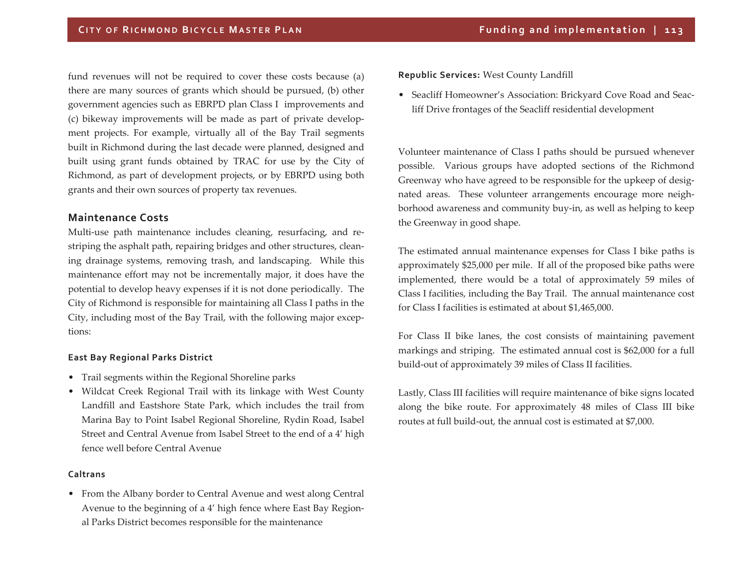fund revenues will not be required to cover these costs because (a) there are many sources of grants which should be pursued, (b) other governmen<sup>t</sup> agencies such as EBRPD plan Class I improvements and (c) bikeway improvements will be made as par<sup>t</sup> of private develop‐ ment projects. For example, virtually all of the Bay Trail segments built in Richmond during the last decade were planned, designed and built using gran<sup>t</sup> funds obtained by TRAC for use by the City of Richmond, as par<sup>t</sup> of development projects, or by EBRPD using both grants and their own sources of property tax revenues.

### **Maintenance Costs**

Multi‐use path maintenance includes cleaning, resurfacing, and re‐ striping the asphalt path, repairing bridges and other structures, clean‐ ing drainage systems, removing trash, and landscaping. While this maintenance effort may not be incrementally major, it does have the potential to develop heavy expenses if it is not done periodically. The City of Richmond is responsible for maintaining all Class I paths in the City, including most of the Bay Trail, with the following major exceptions:

### **East Bay Regional Parks District**

- Trail segments within the Regional Shoreline parks
- Wildcat Creek Regional Trail with its linkage with West County Landfill and Eastshore State Park, which includes the trail from Marina Bay to Point Isabel Regional Shoreline, Rydin Road, Isabel Street and Central Avenue from Isabel Street to the end of <sup>a</sup> 4' high fence well before Central Avenue

#### **Caltrans**

• From the Albany border to Central Avenue and west along Central Avenue to the beginning of <sup>a</sup> 4' high fence where East Bay Region‐ al Parks District becomes responsible for the maintenance

#### **Republic Services:** West County Landfill

• Seacliff Homeowner's Association: Brickyard Cove Road and Seacliff Drive frontages of the Seacliff residential development

Volunteer maintenance of Class I paths should be pursued whenever possible. Various groups have adopted sections of the Richmond Greenway who have agreed to be responsible for the upkeep of designated areas. These volunteer arrangements encourage more neigh‐ borhood awareness and community buy‐in, as well as helping to keep the Greenway in good shape.

The estimated annual maintenance expenses for Class I bike paths is approximately \$25,000 per mile. If all of the proposed bike paths were implemented, there would be <sup>a</sup> total of approximately 59 miles of Class I facilities, including the Bay Trail. The annual maintenance cost for Class I facilities is estimated at about \$1,465,000.

For Class II bike lanes, the cost consists of maintaining pavemen<sup>t</sup> markings and striping. The estimated annual cost is \$62,000 for <sup>a</sup> full build‐out of approximately 39 miles of Class II facilities.

Lastly, Class III facilities will require maintenance of bike signs located along the bike route. For approximately 48 miles of Class III bike routes at full build‐out, the annual cost is estimated at \$7,000.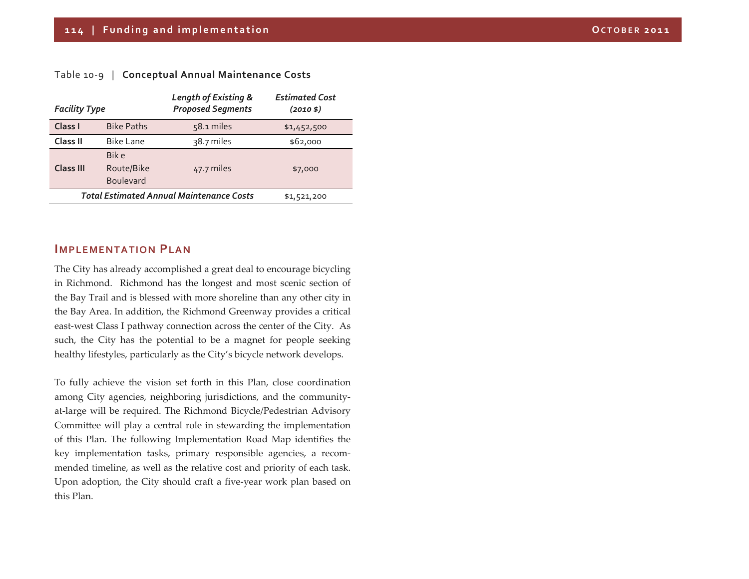#### Table <sup>10</sup>‐9 | **Conceptual Annual Maintenance Costs**

| <b>Facility Type</b> |                                                 | Length of Existing &<br><b>Proposed Segments</b> | <b>Estimated Cost</b><br>$(2010 \; \frac{1}{2})$ |
|----------------------|-------------------------------------------------|--------------------------------------------------|--------------------------------------------------|
| Class I              | <b>Bike Paths</b>                               | $58.1$ miles                                     | \$1,452,500                                      |
| <b>Class II</b>      | <b>Bike Lane</b>                                | 38.7 miles                                       | \$62,000                                         |
| <b>Class III</b>     | Bik e<br>Route/Bike<br><b>Boulevard</b>         | 47.7 miles                                       | \$7,000                                          |
|                      | <b>Total Estimated Annual Maintenance Costs</b> | \$1,521,200                                      |                                                  |

### **IMPLEMENTATION PLAN**

The City has already accomplished <sup>a</sup> grea<sup>t</sup> deal to encourage bicycling in Richmond. Richmond has the longest and most scenic section of the Bay Trail and is blessed with more shoreline than any other city in the Bay Area. In addition, the Richmond Greenway provides <sup>a</sup> critical east‐west Class I pathway connection across the center of the City. As such, the City has the potential to be <sup>a</sup> magne<sup>t</sup> for people seeking healthy lifestyles, particularly as the City's bicycle network develops.

To fully achieve the vision set forth in this Plan, close coordination among City agencies, neighboring jurisdictions, and the communityat-large will be required. The Richmond Bicycle/Pedestrian Advisory Committee will play <sup>a</sup> central role in stewarding the implementation of this Plan. The following Implementation Road Map identifies the key implementation tasks, primary responsible agencies, a recommended timeline, as well as the relative cost and priority of each task. Upon adoption, the City should craft <sup>a</sup> five‐year work plan based on this Plan.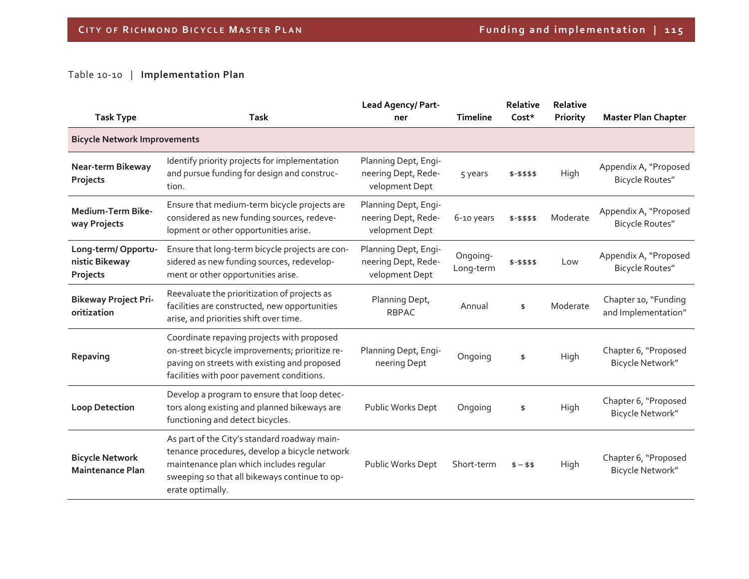#### Table 10‐10 | **Implementation Plan**

| <b>Task Type</b>                                  | <b>Task</b>                                                                                                                                                                                                   | Lead Agency/ Part-<br>ner                                     | Timeline              | Relative<br>Cost* | Relative<br>Priority | <b>Master Plan Chapter</b>                      |  |
|---------------------------------------------------|---------------------------------------------------------------------------------------------------------------------------------------------------------------------------------------------------------------|---------------------------------------------------------------|-----------------------|-------------------|----------------------|-------------------------------------------------|--|
| <b>Bicycle Network Improvements</b>               |                                                                                                                                                                                                               |                                                               |                       |                   |                      |                                                 |  |
| <b>Near-term Bikeway</b><br>Projects              | Identify priority projects for implementation<br>and pursue funding for design and construc-<br>tion.                                                                                                         | Planning Dept, Engi-<br>neering Dept, Rede-<br>velopment Dept | 5 years               | \$-\$\$\$\$       | High                 | Appendix A, "Proposed<br><b>Bicycle Routes"</b> |  |
| Medium-Term Bike-<br>way Projects                 | Ensure that medium-term bicycle projects are<br>considered as new funding sources, redeve-<br>lopment or other opportunities arise.                                                                           | Planning Dept, Engi-<br>neering Dept, Rede-<br>velopment Dept | 6-10 years            | $$ - $ $ $ $ $$   | Moderate             | Appendix A, "Proposed<br><b>Bicycle Routes"</b> |  |
| Long-term/Opportu-<br>nistic Bikeway<br>Projects  | Ensure that long-term bicycle projects are con-<br>sidered as new funding sources, redevelop-<br>ment or other opportunities arise.                                                                           | Planning Dept, Engi-<br>neering Dept, Rede-<br>velopment Dept | Ongoing-<br>Long-term | \$-\$\$\$\$       | Low                  | Appendix A, "Proposed<br><b>Bicycle Routes"</b> |  |
| <b>Bikeway Project Pri-</b><br>oritization        | Reevaluate the prioritization of projects as<br>facilities are constructed, new opportunities<br>arise, and priorities shift over time.                                                                       | Planning Dept,<br><b>RBPAC</b>                                | Annual                | \$                | Moderate             | Chapter 10, "Funding<br>and Implementation"     |  |
| Repaving                                          | Coordinate repaving projects with proposed<br>on-street bicycle improvements; prioritize re-<br>paving on streets with existing and proposed<br>facilities with poor pavement conditions.                     | Planning Dept, Engi-<br>neering Dept                          | Ongoing               | \$                | High                 | Chapter 6, "Proposed<br>Bicycle Network"        |  |
| <b>Loop Detection</b>                             | Develop a program to ensure that loop detec-<br>tors along existing and planned bikeways are<br>functioning and detect bicycles.                                                                              | Public Works Dept                                             | Ongoing               | \$                | High                 | Chapter 6, "Proposed<br>Bicycle Network"        |  |
| <b>Bicycle Network</b><br><b>Maintenance Plan</b> | As part of the City's standard roadway main-<br>tenance procedures, develop a bicycle network<br>maintenance plan which includes regular<br>sweeping so that all bikeways continue to op-<br>erate optimally. | Public Works Dept                                             | Short-term            | $$ - $$           | High                 | Chapter 6, "Proposed<br>Bicycle Network"        |  |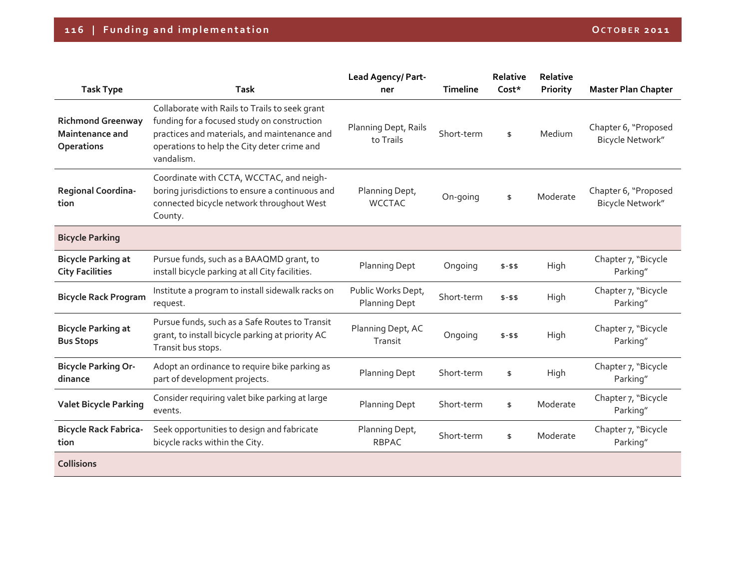| <b>Task Type</b>                                                 | <b>Task</b>                                                                                                                                                                                                | Lead Agency/ Part-<br>ner                  | <b>Timeline</b> | Relative<br>$Cost*$ | Relative<br>Priority | <b>Master Plan Chapter</b>               |
|------------------------------------------------------------------|------------------------------------------------------------------------------------------------------------------------------------------------------------------------------------------------------------|--------------------------------------------|-----------------|---------------------|----------------------|------------------------------------------|
| <b>Richmond Greenway</b><br><b>Maintenance and</b><br>Operations | Collaborate with Rails to Trails to seek grant<br>funding for a focused study on construction<br>practices and materials, and maintenance and<br>operations to help the City deter crime and<br>vandalism. | Planning Dept, Rails<br>to Trails          | Short-term      | \$                  | Medium               | Chapter 6, "Proposed<br>Bicycle Network" |
| <b>Regional Coordina-</b><br>tion                                | Coordinate with CCTA, WCCTAC, and neigh-<br>boring jurisdictions to ensure a continuous and<br>connected bicycle network throughout West<br>County.                                                        | Planning Dept,<br><b>WCCTAC</b>            | On-going        | \$                  | Moderate             | Chapter 6, "Proposed<br>Bicycle Network" |
| <b>Bicycle Parking</b>                                           |                                                                                                                                                                                                            |                                            |                 |                     |                      |                                          |
| <b>Bicycle Parking at</b><br><b>City Facilities</b>              | Pursue funds, such as a BAAQMD grant, to<br>install bicycle parking at all City facilities.                                                                                                                | <b>Planning Dept</b>                       | Ongoing         | $$ - $ $$           | High                 | Chapter 7, "Bicycle<br>Parking"          |
| <b>Bicycle Rack Program</b>                                      | Institute a program to install sidewalk racks on<br>request.                                                                                                                                               | Public Works Dept,<br><b>Planning Dept</b> | Short-term      | $$ - $$             | High                 | Chapter 7, "Bicycle<br>Parking"          |
| <b>Bicycle Parking at</b><br><b>Bus Stops</b>                    | Pursue funds, such as a Safe Routes to Transit<br>grant, to install bicycle parking at priority AC<br>Transit bus stops.                                                                                   | Planning Dept, AC<br>Transit               | Ongoing         | $$ - $ $$           | High                 | Chapter 7, "Bicycle<br>Parking"          |
| <b>Bicycle Parking Or-</b><br>dinance                            | Adopt an ordinance to require bike parking as<br>part of development projects.                                                                                                                             | <b>Planning Dept</b>                       | Short-term      | \$                  | High                 | Chapter 7, "Bicycle<br>Parking"          |
| <b>Valet Bicycle Parking</b>                                     | Consider requiring valet bike parking at large<br>events.                                                                                                                                                  | <b>Planning Dept</b>                       | Short-term      | \$                  | Moderate             | Chapter 7, "Bicycle<br>Parking"          |
| <b>Bicycle Rack Fabrica-</b><br>tion                             | Seek opportunities to design and fabricate<br>bicycle racks within the City.                                                                                                                               | Planning Dept,<br><b>RBPAC</b>             | Short-term      | \$                  | Moderate             | Chapter 7, "Bicycle<br>Parking"          |
| <b>Collisions</b>                                                |                                                                                                                                                                                                            |                                            |                 |                     |                      |                                          |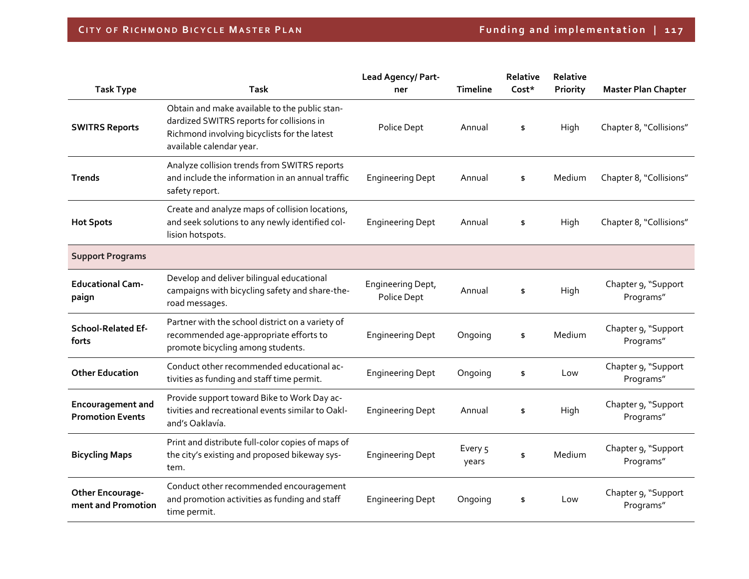| <b>Task Type</b>                                    | <b>Task</b>                                                                                                                                                            | Lead Agency/ Part-<br>ner        | <b>Timeline</b>  | Relative<br>$Cost*$ | Relative<br>Priority | <b>Master Plan Chapter</b>       |
|-----------------------------------------------------|------------------------------------------------------------------------------------------------------------------------------------------------------------------------|----------------------------------|------------------|---------------------|----------------------|----------------------------------|
| <b>SWITRS Reports</b>                               | Obtain and make available to the public stan-<br>dardized SWITRS reports for collisions in<br>Richmond involving bicyclists for the latest<br>available calendar year. | Police Dept                      | Annual           | \$                  | High                 | Chapter 8, "Collisions"          |
| <b>Trends</b>                                       | Analyze collision trends from SWITRS reports<br>and include the information in an annual traffic<br>safety report.                                                     | <b>Engineering Dept</b>          | Annual           | \$                  | Medium               | Chapter 8, "Collisions"          |
| <b>Hot Spots</b>                                    | Create and analyze maps of collision locations,<br>and seek solutions to any newly identified col-<br>lision hotspots.                                                 | <b>Engineering Dept</b>          | Annual           | \$                  | High                 | Chapter 8, "Collisions"          |
| <b>Support Programs</b>                             |                                                                                                                                                                        |                                  |                  |                     |                      |                                  |
| <b>Educational Cam-</b><br>paign                    | Develop and deliver bilingual educational<br>campaigns with bicycling safety and share-the-<br>road messages.                                                          | Engineering Dept,<br>Police Dept | Annual           | \$                  | High                 | Chapter 9, "Support<br>Programs" |
| <b>School-Related Ef-</b><br>forts                  | Partner with the school district on a variety of<br>recommended age-appropriate efforts to<br>promote bicycling among students.                                        | <b>Engineering Dept</b>          | Ongoing          | \$                  | Medium               | Chapter 9, "Support<br>Programs" |
| <b>Other Education</b>                              | Conduct other recommended educational ac-<br>tivities as funding and staff time permit.                                                                                | <b>Engineering Dept</b>          | Ongoing          | \$                  | Low                  | Chapter 9, "Support<br>Programs" |
| <b>Encouragement and</b><br><b>Promotion Events</b> | Provide support toward Bike to Work Day ac-<br>tivities and recreational events similar to Oakl-<br>and's Oaklavía.                                                    | <b>Engineering Dept</b>          | Annual           | \$                  | High                 | Chapter 9, "Support<br>Programs" |
| <b>Bicycling Maps</b>                               | Print and distribute full-color copies of maps of<br>the city's existing and proposed bikeway sys-<br>tem.                                                             | <b>Engineering Dept</b>          | Every 5<br>years | \$                  | Medium               | Chapter 9, "Support<br>Programs" |
| <b>Other Encourage-</b><br>ment and Promotion       | Conduct other recommended encouragement<br>and promotion activities as funding and staff<br>time permit.                                                               | <b>Engineering Dept</b>          | Ongoing          | \$                  | Low                  | Chapter 9, "Support<br>Programs" |